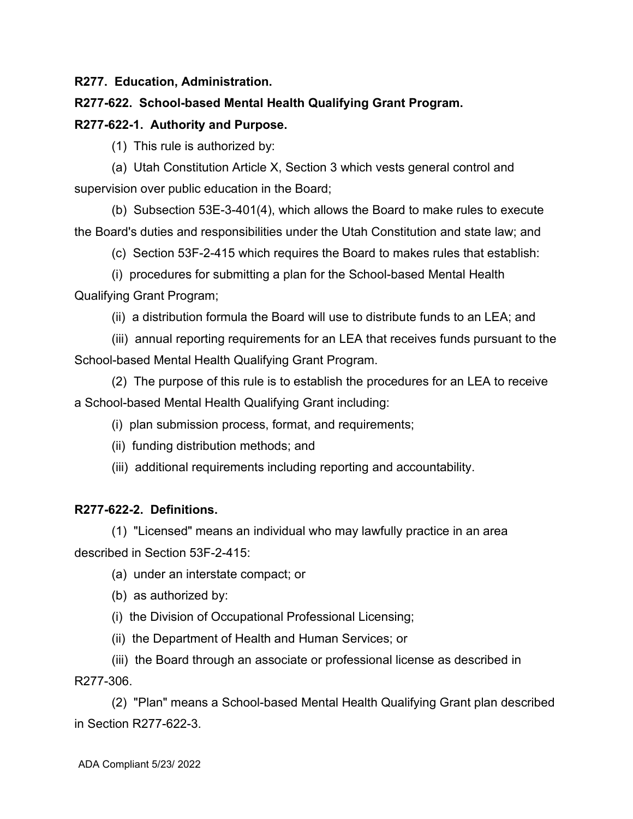**R277. Education, Administration.**

## **R277-622. School-based Mental Health Qualifying Grant Program.**

## **R277-622-1. Authority and Purpose.**

(1) This rule is authorized by:

(a) Utah Constitution Article X, Section 3 which vests general control and supervision over public education in the Board;

(b) Subsection 53E-3-401(4), which allows the Board to make rules to execute the Board's duties and responsibilities under the Utah Constitution and state law; and

(c) Section 53F-2-415 which requires the Board to makes rules that establish:

(i) procedures for submitting a plan for the School-based Mental Health

Qualifying Grant Program;

(ii) a distribution formula the Board will use to distribute funds to an LEA; and

(iii) annual reporting requirements for an LEA that receives funds pursuant to the School-based Mental Health Qualifying Grant Program.

(2) The purpose of this rule is to establish the procedures for an LEA to receive a School-based Mental Health Qualifying Grant including:

- (i) plan submission process, format, and requirements;
- (ii) funding distribution methods; and
- (iii) additional requirements including reporting and accountability.

# **R277-622-2. Definitions.**

(1) "Licensed" means an individual who may lawfully practice in an area described in Section 53F-2-415:

- (a) under an interstate compact; or
- (b) as authorized by:
- (i) the Division of Occupational Professional Licensing;
- (ii) the Department of Health and Human Services; or

(iii) the Board through an associate or professional license as described in R277-306.

(2) "Plan" means a School-based Mental Health Qualifying Grant plan described in Section R277-622-3.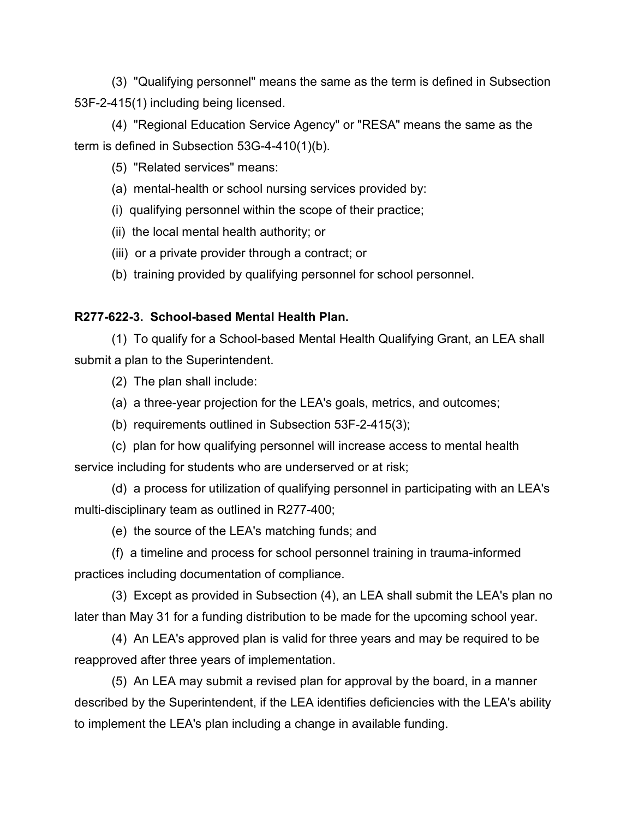(3) "Qualifying personnel" means the same as the term is defined in Subsection 53F-2-415(1) including being licensed.

(4) "Regional Education Service Agency" or "RESA" means the same as the term is defined in Subsection 53G-4-410(1)(b).

(5) "Related services" means:

- (a) mental-health or school nursing services provided by:
- (i) qualifying personnel within the scope of their practice;
- (ii) the local mental health authority; or
- (iii) or a private provider through a contract; or
- (b) training provided by qualifying personnel for school personnel.

## **R277-622-3. School-based Mental Health Plan.**

(1) To qualify for a School-based Mental Health Qualifying Grant, an LEA shall submit a plan to the Superintendent.

(2) The plan shall include:

- (a) a three-year projection for the LEA's goals, metrics, and outcomes;
- (b) requirements outlined in Subsection 53F-2-415(3);

(c) plan for how qualifying personnel will increase access to mental health service including for students who are underserved or at risk;

(d) a process for utilization of qualifying personnel in participating with an LEA's multi-disciplinary team as outlined in R277-400;

(e) the source of the LEA's matching funds; and

(f) a timeline and process for school personnel training in trauma-informed practices including documentation of compliance.

(3) Except as provided in Subsection (4), an LEA shall submit the LEA's plan no later than May 31 for a funding distribution to be made for the upcoming school year.

(4) An LEA's approved plan is valid for three years and may be required to be reapproved after three years of implementation.

(5) An LEA may submit a revised plan for approval by the board, in a manner described by the Superintendent, if the LEA identifies deficiencies with the LEA's ability to implement the LEA's plan including a change in available funding.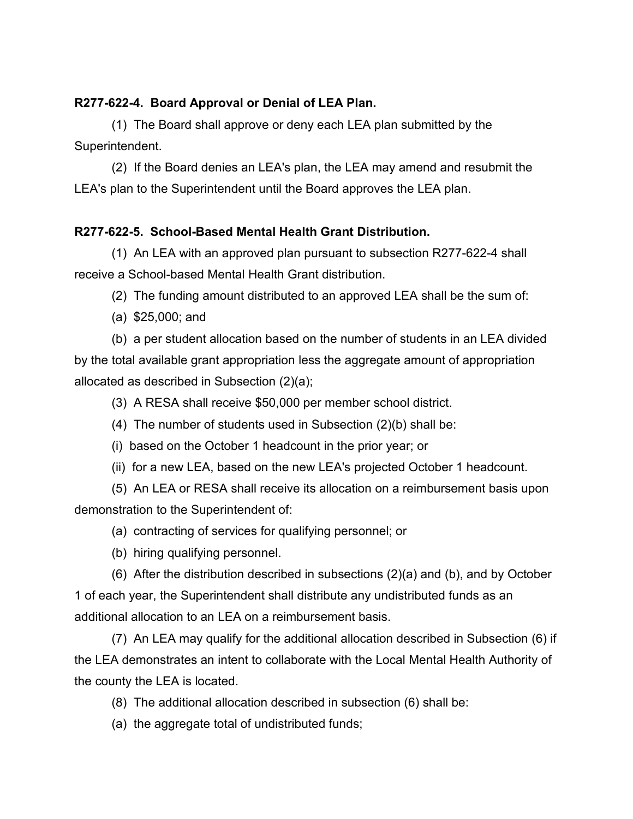#### **R277-622-4. Board Approval or Denial of LEA Plan.**

(1) The Board shall approve or deny each LEA plan submitted by the Superintendent.

(2) If the Board denies an LEA's plan, the LEA may amend and resubmit the LEA's plan to the Superintendent until the Board approves the LEA plan.

# **R277-622-5. School-Based Mental Health Grant Distribution.**

(1) An LEA with an approved plan pursuant to subsection R277-622-4 shall receive a School-based Mental Health Grant distribution.

(2) The funding amount distributed to an approved LEA shall be the sum of:

(a) \$25,000; and

(b) a per student allocation based on the number of students in an LEA divided by the total available grant appropriation less the aggregate amount of appropriation allocated as described in Subsection (2)(a);

(3) A RESA shall receive \$50,000 per member school district.

- (4) The number of students used in Subsection (2)(b) shall be:
- (i) based on the October 1 headcount in the prior year; or
- (ii) for a new LEA, based on the new LEA's projected October 1 headcount.

(5) An LEA or RESA shall receive its allocation on a reimbursement basis upon demonstration to the Superintendent of:

- (a) contracting of services for qualifying personnel; or
- (b) hiring qualifying personnel.

(6) After the distribution described in subsections (2)(a) and (b), and by October 1 of each year, the Superintendent shall distribute any undistributed funds as an additional allocation to an LEA on a reimbursement basis.

(7) An LEA may qualify for the additional allocation described in Subsection (6) if the LEA demonstrates an intent to collaborate with the Local Mental Health Authority of the county the LEA is located.

(8) The additional allocation described in subsection (6) shall be:

(a) the aggregate total of undistributed funds;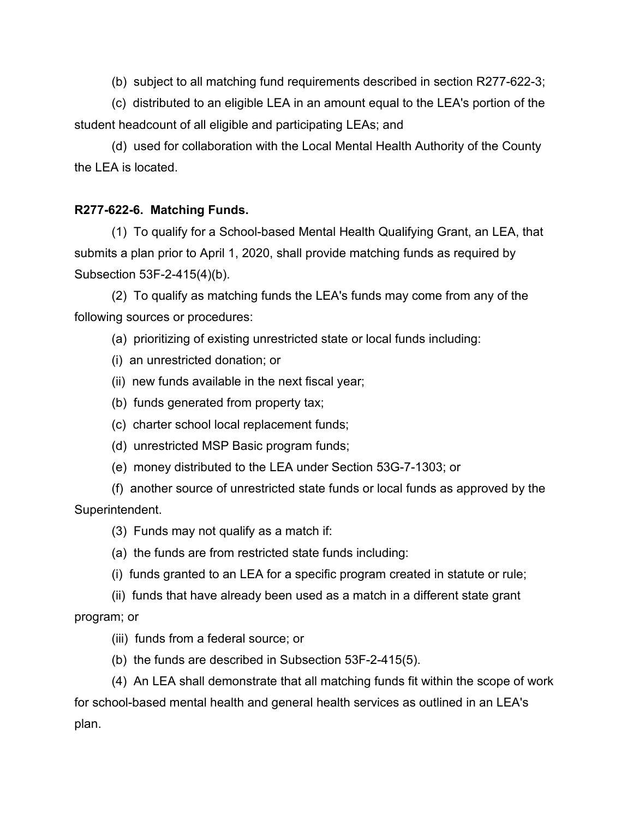(b) subject to all matching fund requirements described in section R277-622-3;

(c) distributed to an eligible LEA in an amount equal to the LEA's portion of the student headcount of all eligible and participating LEAs; and

(d) used for collaboration with the Local Mental Health Authority of the County the LEA is located.

# **R277-622-6. Matching Funds.**

(1) To qualify for a School-based Mental Health Qualifying Grant, an LEA, that submits a plan prior to April 1, 2020, shall provide matching funds as required by Subsection 53F-2-415(4)(b).

(2) To qualify as matching funds the LEA's funds may come from any of the following sources or procedures:

(a) prioritizing of existing unrestricted state or local funds including:

- (i) an unrestricted donation; or
- (ii) new funds available in the next fiscal year;
- (b) funds generated from property tax;
- (c) charter school local replacement funds;
- (d) unrestricted MSP Basic program funds;
- (e) money distributed to the LEA under Section 53G-7-1303; or

(f) another source of unrestricted state funds or local funds as approved by the Superintendent.

(3) Funds may not qualify as a match if:

- (a) the funds are from restricted state funds including:
- (i) funds granted to an LEA for a specific program created in statute or rule;
- (ii) funds that have already been used as a match in a different state grant

program; or

- (iii) funds from a federal source; or
- (b) the funds are described in Subsection 53F-2-415(5).

(4) An LEA shall demonstrate that all matching funds fit within the scope of work for school-based mental health and general health services as outlined in an LEA's plan.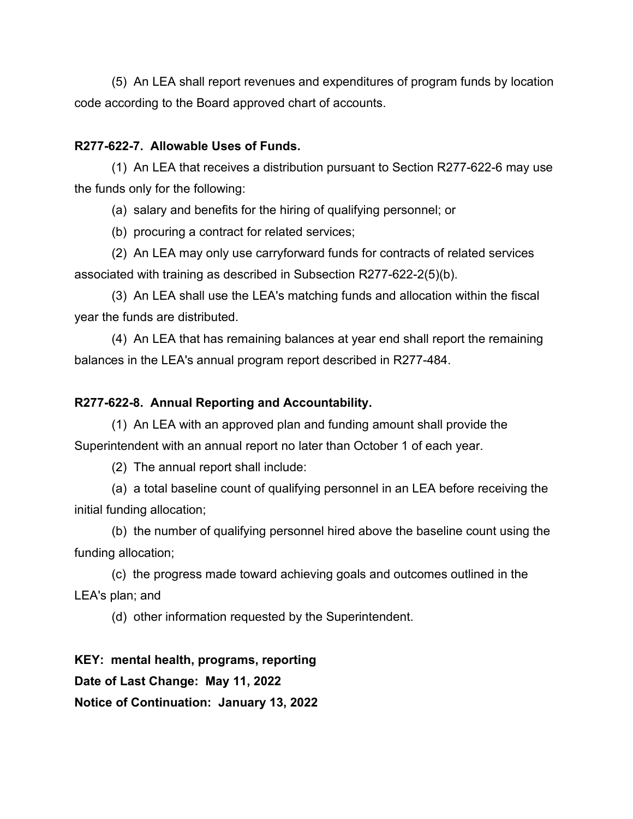(5) An LEA shall report revenues and expenditures of program funds by location code according to the Board approved chart of accounts.

### **R277-622-7. Allowable Uses of Funds.**

(1) An LEA that receives a distribution pursuant to Section R277-622-6 may use the funds only for the following:

(a) salary and benefits for the hiring of qualifying personnel; or

(b) procuring a contract for related services;

(2) An LEA may only use carryforward funds for contracts of related services associated with training as described in Subsection R277-622-2(5)(b).

(3) An LEA shall use the LEA's matching funds and allocation within the fiscal year the funds are distributed.

(4) An LEA that has remaining balances at year end shall report the remaining balances in the LEA's annual program report described in R277-484.

## **R277-622-8. Annual Reporting and Accountability.**

(1) An LEA with an approved plan and funding amount shall provide the Superintendent with an annual report no later than October 1 of each year.

(2) The annual report shall include:

(a) a total baseline count of qualifying personnel in an LEA before receiving the initial funding allocation;

(b) the number of qualifying personnel hired above the baseline count using the funding allocation;

(c) the progress made toward achieving goals and outcomes outlined in the LEA's plan; and

(d) other information requested by the Superintendent.

**KEY: mental health, programs, reporting Date of Last Change: May 11, 2022 Notice of Continuation: January 13, 2022**